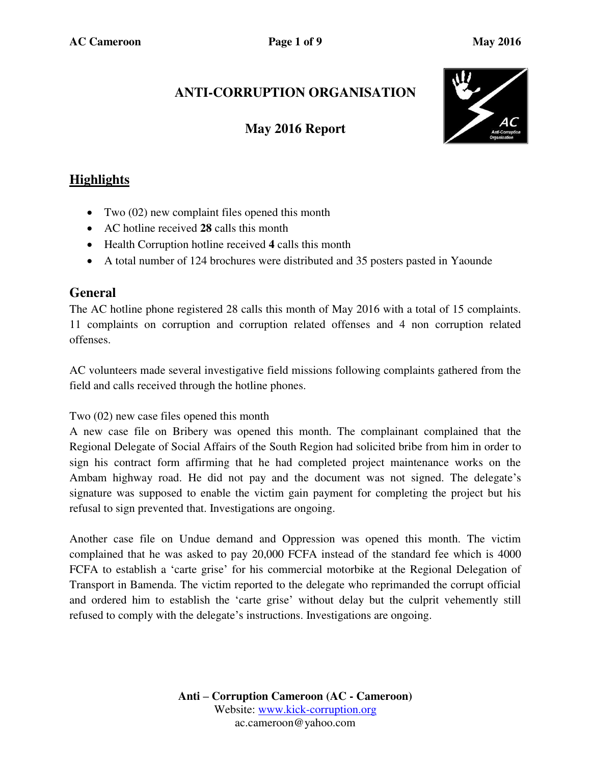# **ANTI-CORRUPTION ORGANISATION**

## **May 2016 Report**



## **Highlights**

- Two (02) new complaint files opened this month
- AC hotline received **28** calls this month
- Health Corruption hotline received **4** calls this month
- A total number of 124 brochures were distributed and 35 posters pasted in Yaounde

## **General**

The AC hotline phone registered 28 calls this month of May 2016 with a total of 15 complaints. 11 complaints on corruption and corruption related offenses and 4 non corruption related offenses.

AC volunteers made several investigative field missions following complaints gathered from the field and calls received through the hotline phones.

Two (02) new case files opened this month

A new case file on Bribery was opened this month. The complainant complained that the Regional Delegate of Social Affairs of the South Region had solicited bribe from him in order to sign his contract form affirming that he had completed project maintenance works on the Ambam highway road. He did not pay and the document was not signed. The delegate's signature was supposed to enable the victim gain payment for completing the project but his refusal to sign prevented that. Investigations are ongoing.

Another case file on Undue demand and Oppression was opened this month. The victim complained that he was asked to pay 20,000 FCFA instead of the standard fee which is 4000 FCFA to establish a 'carte grise' for his commercial motorbike at the Regional Delegation of Transport in Bamenda. The victim reported to the delegate who reprimanded the corrupt official and ordered him to establish the 'carte grise' without delay but the culprit vehemently still refused to comply with the delegate's instructions. Investigations are ongoing.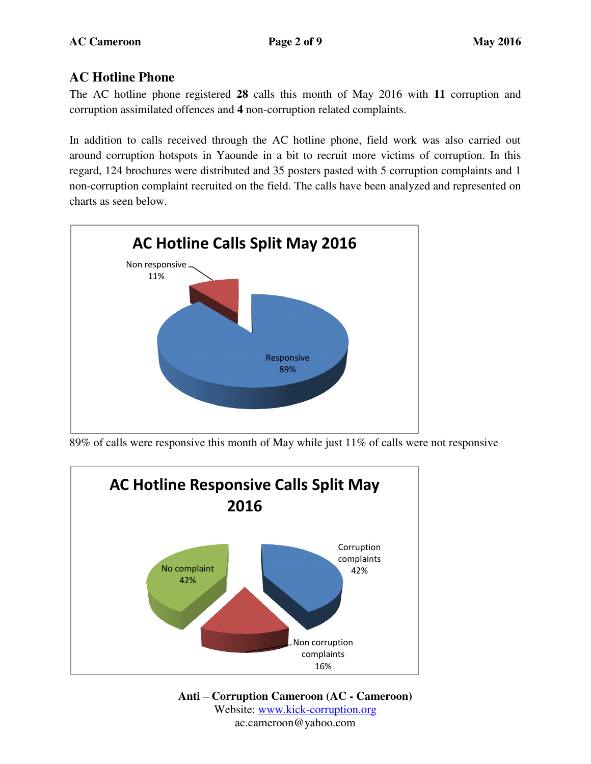## **AC Hotline Phone**

The AC hotline phone registered **28** calls this month of May 2016 with **11** corruption and corruption assimilated offences and **4** non-corruption related complaints.

In addition to calls received through the AC hotline phone, field work was also carried out around corruption hotspots in Yaounde in a bit to recruit more victims of corruption. In this regard, 124 brochures were distributed and 35 posters pasted with 5 corruption complaints and 1 non-corruption complaint recruited on the field. The calls have been analyzed and represented on charts as seen below.



89% of calls were responsive this month of May while just 11% of calls were not responsive



**Anti – Corruption Cameroon (AC - Cameroon)** Website: [www.kick-corruption.org](http://www.kick-corruption.org/) ac.cameroon@yahoo.com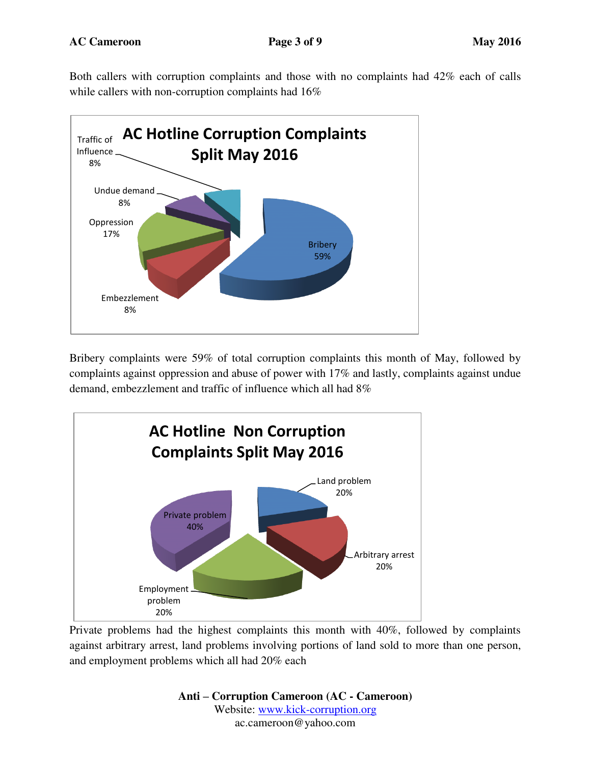Both callers with corruption complaints and those with no complaints had 42% each of calls while callers with non-corruption complaints had  $16\%$ 



Bribery complaints were 59% of total corruption complaints this month of May, followed by complaints against oppression and abuse of power with 17% and lastly, complaints against undue demand, embezzlement and traffic of influence which all had 8%



Private problems had the highest complaints this month with 40%, followed by complaints against arbitrary arrest, land problems involving portions of land sold to more than one person, and employment problems which all had 20% each

> **Anti – Corruption Cameroon (AC - Cameroon)** Website: [www.kick-corruption.org](http://www.kick-corruption.org/) ac.cameroon@yahoo.com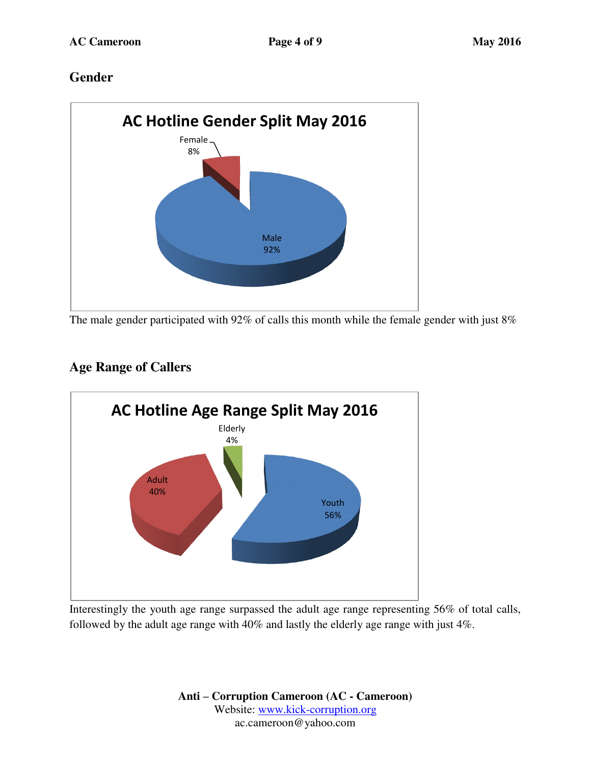## **Gender**



The male gender participated with 92% of calls this month while the female gender with just 8%

## **Age Range of Callers**



Interestingly the youth age range surpassed the adult age range representing 56% of total calls, followed by the adult age range with 40% and lastly the elderly age range with just 4%.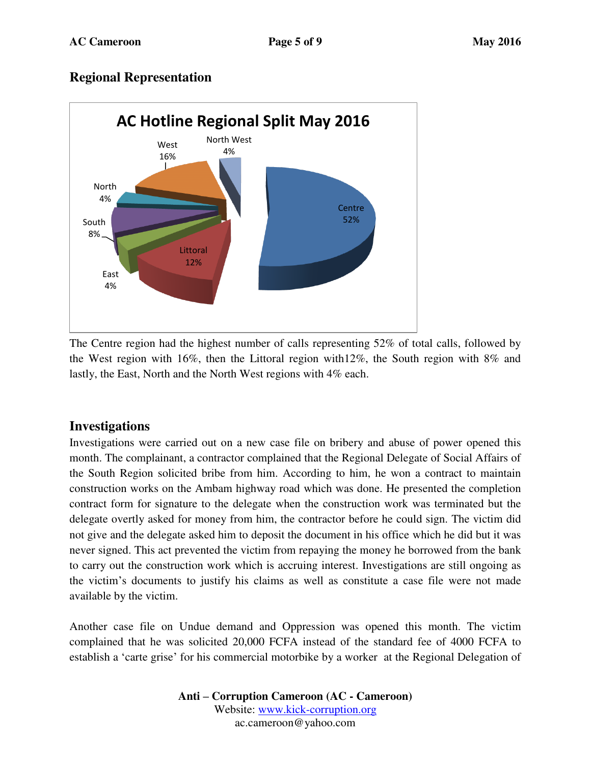## **Regional Representation**



The Centre region had the highest number of calls representing 52% of total calls, followed by the West region with 16%, then the Littoral region with12%, the South region with 8% and lastly, the East, North and the North West regions with 4% each.

### **Investigations**

Investigations were carried out on a new case file on bribery and abuse of power opened this month. The complainant, a contractor complained that the Regional Delegate of Social Affairs of the South Region solicited bribe from him. According to him, he won a contract to maintain construction works on the Ambam highway road which was done. He presented the completion contract form for signature to the delegate when the construction work was terminated but the delegate overtly asked for money from him, the contractor before he could sign. The victim did not give and the delegate asked him to deposit the document in his office which he did but it was never signed. This act prevented the victim from repaying the money he borrowed from the bank to carry out the construction work which is accruing interest. Investigations are still ongoing as the victim's documents to justify his claims as well as constitute a case file were not made available by the victim.

Another case file on Undue demand and Oppression was opened this month. The victim complained that he was solicited 20,000 FCFA instead of the standard fee of 4000 FCFA to establish a 'carte grise' for his commercial motorbike by a worker at the Regional Delegation of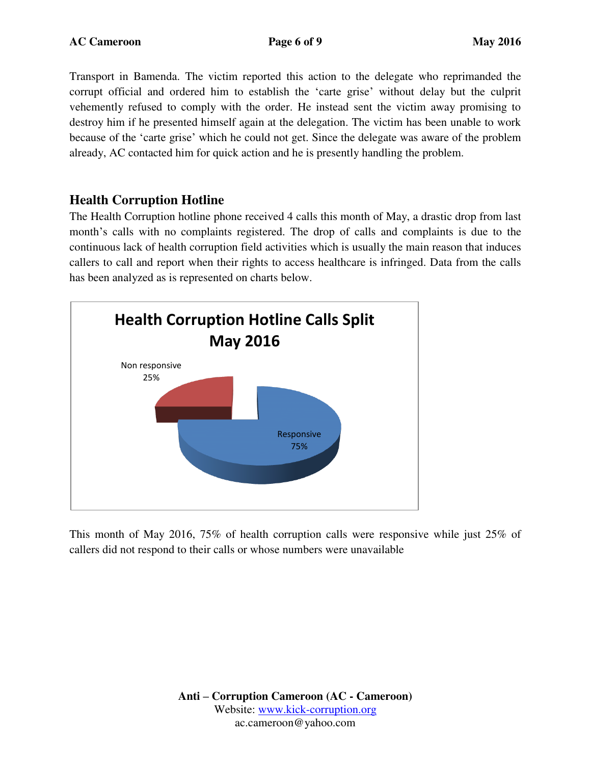Transport in Bamenda. The victim reported this action to the delegate who reprimanded the corrupt official and ordered him to establish the 'carte grise' without delay but the culprit vehemently refused to comply with the order. He instead sent the victim away promising to destroy him if he presented himself again at the delegation. The victim has been unable to work because of the 'carte grise' which he could not get. Since the delegate was aware of the problem already, AC contacted him for quick action and he is presently handling the problem.

## **Health Corruption Hotline**

The Health Corruption hotline phone received 4 calls this month of May, a drastic drop from last month's calls with no complaints registered. The drop of calls and complaints is due to the continuous lack of health corruption field activities which is usually the main reason that induces callers to call and report when their rights to access healthcare is infringed. Data from the calls has been analyzed as is represented on charts below.



This month of May 2016, 75% of health corruption calls were responsive while just 25% of callers did not respond to their calls or whose numbers were unavailable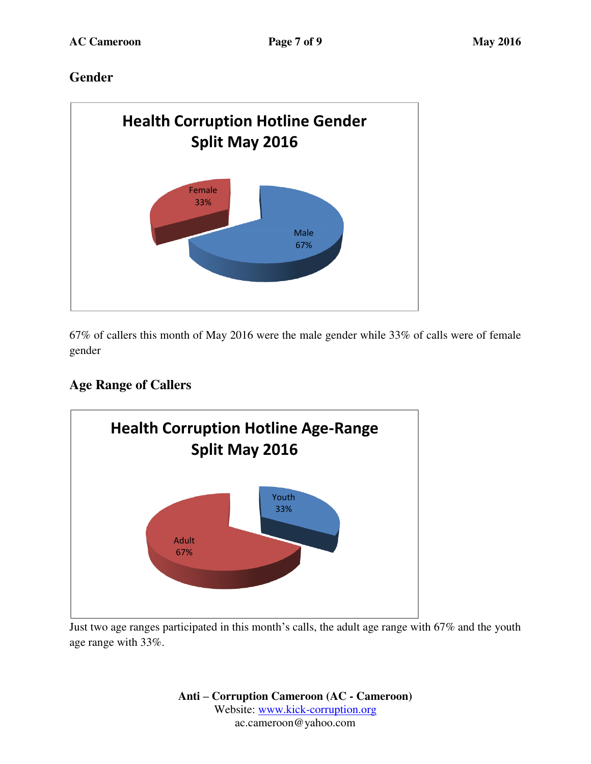## **Gender**



67% of callers this month of May 2016 were the male gender while 33% of calls were of female gender

## **Age Range of Callers**



Just two age ranges participated in this month's calls, the adult age range with 67% and the youth age range with 33%.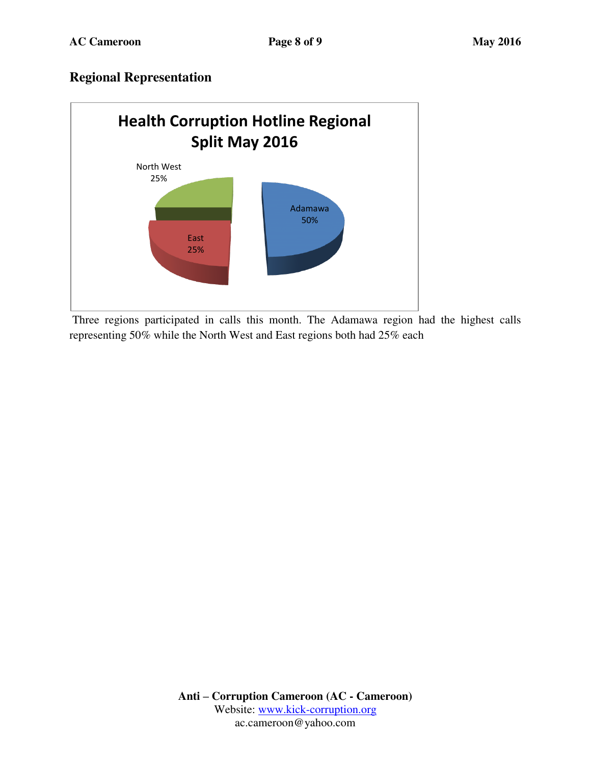## **Regional Representation**



 Three regions participated in calls this month. The Adamawa region had the highest calls representing 50% while the North West and East regions both had 25% each